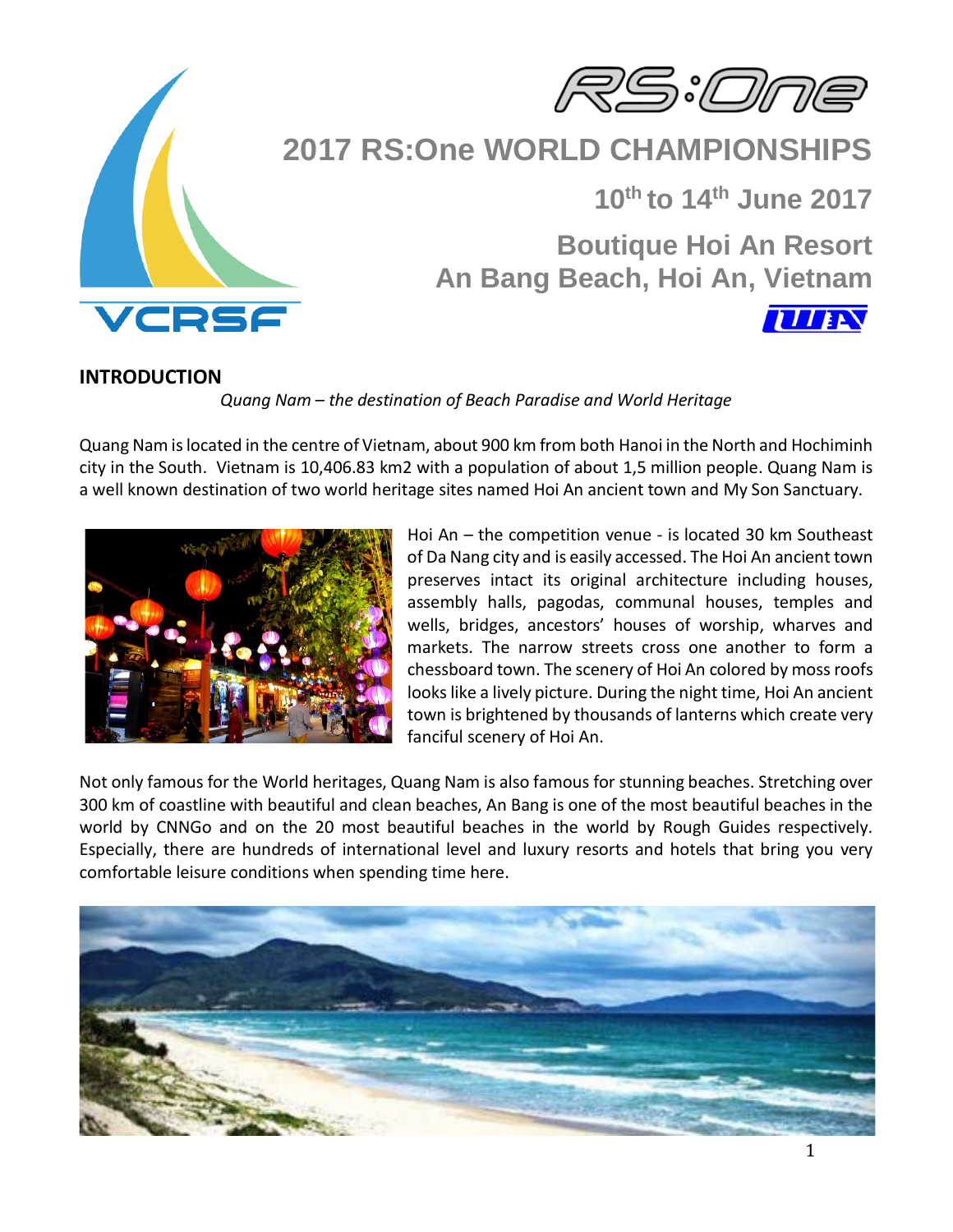



# **2017 RS:One WORLD CHAMPIONSHIPS**

 **10th to 14th June 2017**

**TITEN** 

**Boutique Hoi An Resort An Bang Beach, Hoi An, Vietnam**

### **INTRODUCTION**

*Quang Nam – the destination of Beach Paradise and World Heritage*

Quang Nam is located in the centre of Vietnam, about 900 km from both Hanoi in the North and Hochiminh city in the South. Vietnam is 10,406.83 km2 with a population of about 1,5 million people. Quang Nam is a well known destination of two world heritage sites named Hoi An ancient town and My Son Sanctuary.



Hoi An – the competition venue - is located 30 km Southeast of Da Nang city and is easily accessed. The Hoi An ancient town preserves intact its original architecture including houses, assembly halls, pagodas, communal houses, temples and wells, bridges, ancestors' houses of worship, wharves and markets. The narrow streets cross one another to form a chessboard town. The scenery of Hoi An colored by moss roofs looks like a lively picture. During the night time, Hoi An ancient town is brightened by thousands of lanterns which create very fanciful scenery of Hoi An.

Not only famous for the World heritages, Quang Nam is also famous for stunning beaches. Stretching over 300 km of coastline with beautiful and clean beaches, An Bang is one of the most beautiful beaches in the world by CNNGo and on the 20 most beautiful beaches in the world by Rough Guides respectively. Especially, there are hundreds of international level and luxury resorts and hotels that bring you very comfortable leisure conditions when spending time here.

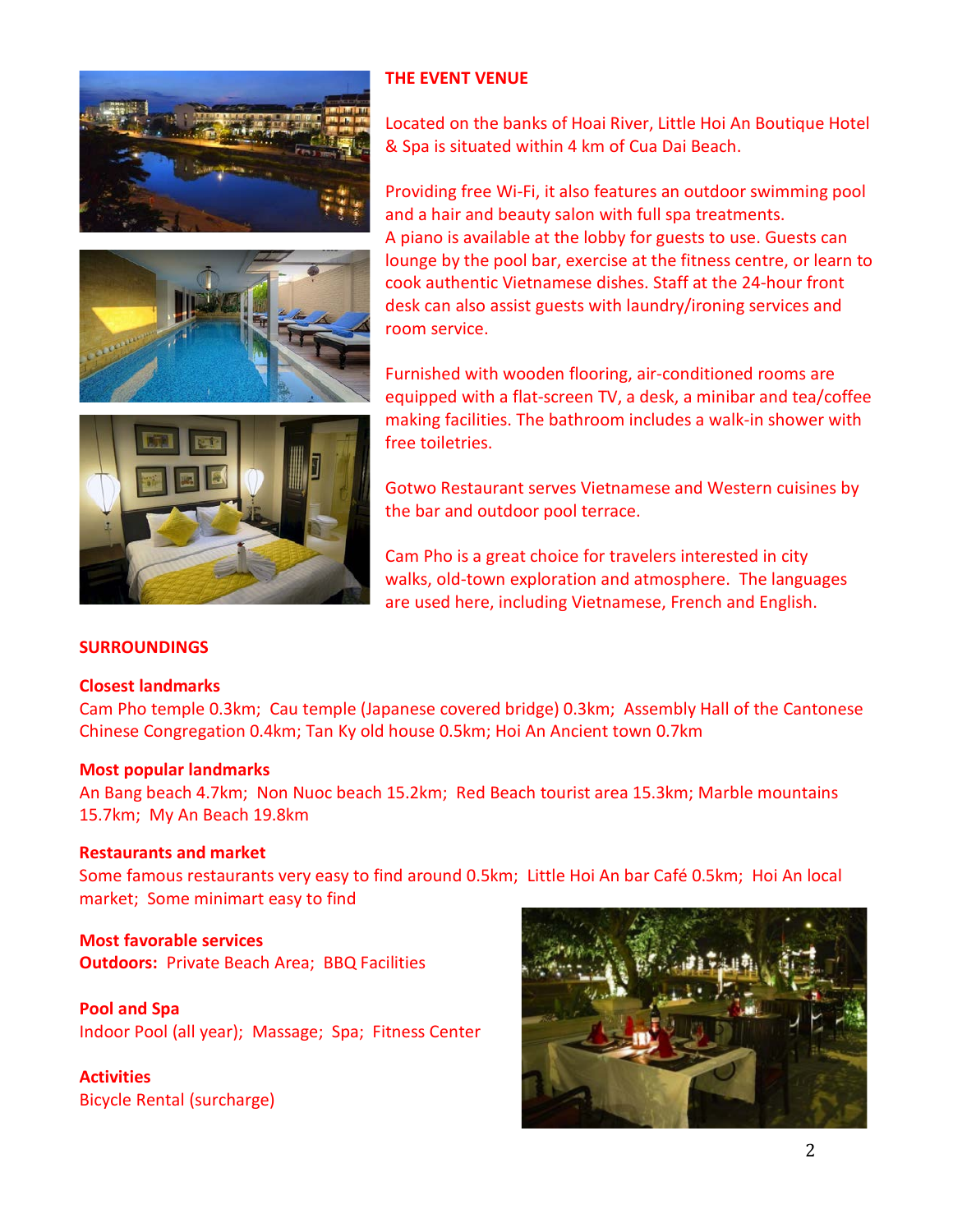



Located on the banks of Hoai River, Little Hoi An Boutique Hotel & Spa is situated within 4 km of Cua Dai Beach.

Providing free Wi-Fi, it also features an outdoor swimming pool and a hair and beauty salon with full spa treatments. A piano is available at the lobby for guests to use. Guests can lounge by the pool bar, exercise at the fitness centre, or learn to cook authentic Vietnamese dishes. Staff at the 24-hour front desk can also assist guests with laundry/ironing services and room service.



Furnished with wooden flooring, air-conditioned rooms are equipped with a flat-screen TV, a desk, a minibar and tea/coffee making facilities. The bathroom includes a walk-in shower with free toiletries.

Gotwo Restaurant serves Vietnamese and Western cuisines by the bar and outdoor pool terrace.

Cam Pho is a great choice for travelers interested in city walks, old-town exploration and atmosphere. The languages are used here, including Vietnamese, French and English.

### **SURROUNDINGS**

### **Closest landmarks**

Cam Pho temple 0.3km; Cau temple (Japanese covered bridge) 0.3km; Assembly Hall of the Cantonese Chinese Congregation 0.4km; Tan Ky old house 0.5km; Hoi An Ancient town 0.7km

#### **Most popular landmarks**

An Bang beach 4.7km; Non Nuoc beach 15.2km; Red Beach tourist area 15.3km; Marble mountains 15.7km; My An Beach 19.8km

### **Restaurants and market**

Some famous restaurants very easy to find around 0.5km; Little Hoi An bar Café 0.5km; Hoi An local market; Some minimart easy to find

## **Most favorable services Outdoors:** Private Beach Area; BBQ Facilities

**Pool and Spa** Indoor Pool (all year); Massage; Spa; Fitness Center

## **Activities**

Bicycle Rental (surcharge)